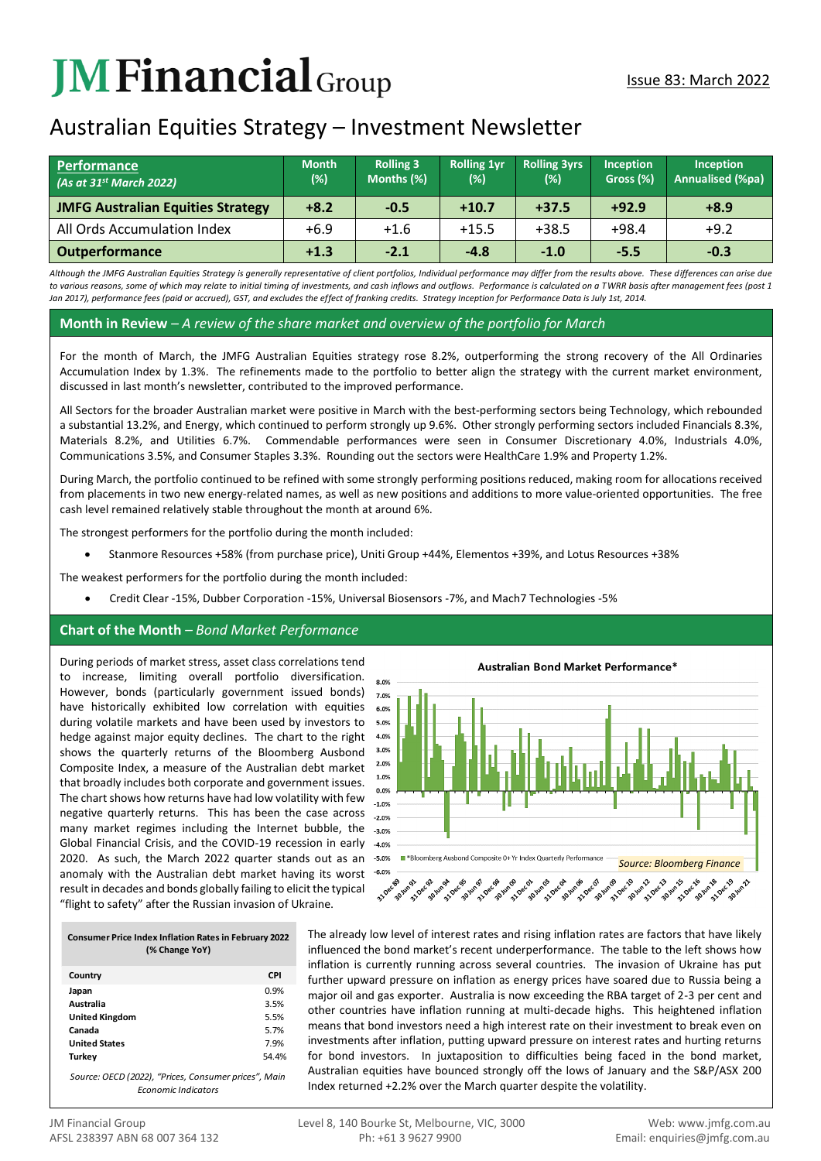# **JMFinancial**Group

# Australian Equities Strategy – Investment Newsletter

| <b>Performance</b><br>(As at $31^{st}$ March 2022) | <b>Month</b><br>(%) | <b>Rolling 3</b><br>Months (%) | <b>Rolling 1vr</b><br>(%) | <b>Rolling 3yrs</b><br>(%) | <b>Inception</b><br>Gross (%) | Inception<br><b>Annualised (%pa)</b> |
|----------------------------------------------------|---------------------|--------------------------------|---------------------------|----------------------------|-------------------------------|--------------------------------------|
| <b>JMFG Australian Equities Strategy</b>           | $+8.2$              | $-0.5$                         | $+10.7$                   | $+37.5$                    | $+92.9$                       | $+8.9$                               |
| All Ords Accumulation Index                        | $+6.9$              | $+1.6$                         | $+15.5$                   | $+38.5$                    | $+98.4$                       | $+9.2$                               |
| <b>Outperformance</b>                              | $+1.3$              | $-2.1$                         | $-4.8$                    | $-1.0$                     | $-5.5$                        | $-0.3$                               |

*Although the JMFG Australian Equities Strategy is generally representative of client portfolios, Individual performance may differ from the results above. These differences can arise due to various reasons, some of which may relate to initial timing of investments, and cash inflows and outflows. Performance is calculated on a TWRR basis after management fees (post 1 Jan 2017), performance fees (paid or accrued), GST, and excludes the effect of franking credits. Strategy Inception for Performance Data is July 1st, 2014.*

#### **Month in Review** *– A review of the share market and overview of the portfolio for March*

For the month of March, the JMFG Australian Equities strategy rose 8.2%, outperforming the strong recovery of the All Ordinaries Accumulation Index by 1.3%. The refinements made to the portfolio to better align the strategy with the current market environment, discussed in last month's newsletter, contributed to the improved performance.

All Sectors for the broader Australian market were positive in March with the best-performing sectors being Technology, which rebounded a substantial 13.2%, and Energy, which continued to perform strongly up 9.6%. Other strongly performing sectors included Financials 8.3%, Materials 8.2%, and Utilities 6.7%. Commendable performances were seen in Consumer Discretionary 4.0%, Industrials 4.0%, Communications 3.5%, and Consumer Staples 3.3%. Rounding out the sectors were HealthCare 1.9% and Property 1.2%.

During March, the portfolio continued to be refined with some strongly performing positions reduced, making room for allocations received from placements in two new energy-related names, as well as new positions and additions to more value-oriented opportunities. The free cash level remained relatively stable throughout the month at around 6%.

The strongest performers for the portfolio during the month included:

• Stanmore Resources +58% (from purchase price), Uniti Group +44%, Elementos +39%, and Lotus Resources +38%

The weakest performers for the portfolio during the month included:

• Credit Clear -15%, Dubber Corporation -15%, Universal Biosensors -7%, and Mach7 Technologies -5%

### **Chart of the Month** *– Bond Market Performance*

During periods of market stress, asset class correlations tend to increase, limiting overall portfolio diversification. However, bonds (particularly government issued bonds) have historically exhibited low correlation with equities during volatile markets and have been used by investors to hedge against major equity declines. The chart to the right shows the quarterly returns of the Bloomberg Ausbond Composite Index, a measure of the Australian debt market that broadly includes both corporate and government issues. The chart shows how returns have had low volatility with few negative quarterly returns. This has been the case across many market regimes including the Internet bubble, the Global Financial Crisis, and the COVID-19 recession in early 2020. As such, the March 2022 quarter stands out as an anomaly with the Australian debt market having its worst result in decades and bonds globally failing to elicit the typical "flight to safety" after the Russian invasion of Ukraine.

| 8.0%<br>7.0%<br>6.0%<br>5.0%<br>4.0%<br>3.0%<br>2.0%<br>1.0%<br>0.0%<br>$-1.0%$<br>$-2.0%$<br>$-3.0%$<br>$-4.0%$ |                                                                  |
|------------------------------------------------------------------------------------------------------------------|------------------------------------------------------------------|
| $-5.0%$                                                                                                          | ■ *Bloomberg Ausbond Composite 0+ Yr Index Quarterly Performance |
| $-6.0%$                                                                                                          | <b>Source: Bloomberg Finance</b>                                 |

| <b>Consumer Price Index Inflation Rates in February 2022</b> |  |  |  |
|--------------------------------------------------------------|--|--|--|
| (% Change YoY)                                               |  |  |  |
| $\cdots$                                                     |  |  |  |

| Country               | <b>CPI</b> |
|-----------------------|------------|
| Japan                 | 0.9%       |
| Australia             | 3.5%       |
| <b>United Kingdom</b> | 5.5%       |
| Canada                | 5.7%       |
| <b>United States</b>  | 7.9%       |
| Turkey                | 54.4%      |
|                       |            |

*Source: OECD (2022), "Prices, Consumer prices", Main Economic Indicators* 

The already low level of interest rates and rising inflation rates are factors that have likely influenced the bond market's recent underperformance. The table to the left shows how inflation is currently running across several countries. The invasion of Ukraine has put further upward pressure on inflation as energy prices have soared due to Russia being a major oil and gas exporter. Australia is now exceeding the RBA target of 2-3 per cent and other countries have inflation running at multi-decade highs. This heightened inflation means that bond investors need a high interest rate on their investment to break even on investments after inflation, putting upward pressure on interest rates and hurting returns for bond investors. In juxtaposition to difficulties being faced in the bond market, Australian equities have bounced strongly off the lows of January and the S&P/ASX 200 Index returned +2.2% over the March quarter despite the volatility.